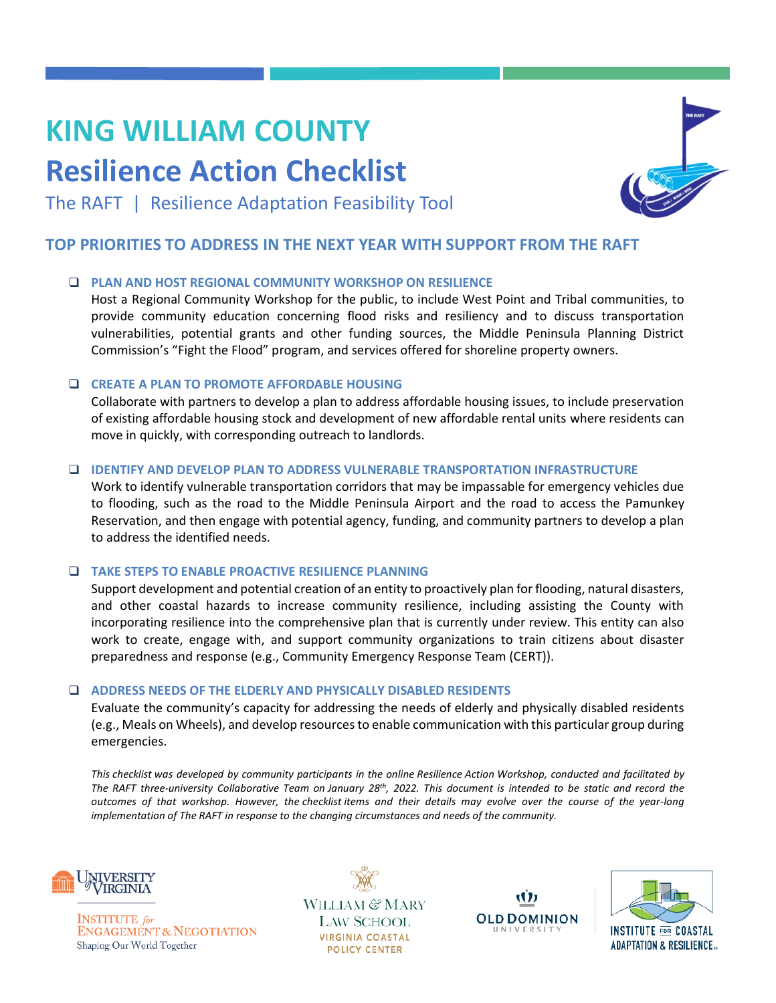# **KING WILLIAM COUNTY**

## **Resilience Action Checklist**



The RAFT | Resilience Adaptation Feasibility Tool

### **TOP PRIORITIES TO ADDRESS IN THE NEXT YEAR WITH SUPPORT FROM THE RAFT**

#### ❑ **PLAN AND HOST REGIONAL COMMUNITY WORKSHOP ON RESILIENCE**

Host a Regional Community Workshop for the public, to include West Point and Tribal communities, to provide community education concerning flood risks and resiliency and to discuss transportation vulnerabilities, potential grants and other funding sources, the Middle Peninsula Planning District Commission's "Fight the Flood" program, and services offered for shoreline property owners.

#### ❑ **CREATE A PLAN TO PROMOTE AFFORDABLE HOUSING**

Collaborate with partners to develop a plan to address affordable housing issues, to include preservation of existing affordable housing stock and development of new affordable rental units where residents can move in quickly, with corresponding outreach to landlords.

#### ❑ **IDENTIFY AND DEVELOP PLAN TO ADDRESS VULNERABLE TRANSPORTATION INFRASTRUCTURE**

Work to identify vulnerable transportation corridors that may be impassable for emergency vehicles due to flooding, such as the road to the Middle Peninsula Airport and the road to access the Pamunkey Reservation, and then engage with potential agency, funding, and community partners to develop a plan to address the identified needs.

#### ❑ **TAKE STEPS TO ENABLE PROACTIVE RESILIENCE PLANNING**

Support development and potential creation of an entity to proactively plan for flooding, natural disasters, and other coastal hazards to increase community resilience, including assisting the County with incorporating resilience into the comprehensive plan that is currently under review. This entity can also work to create, engage with, and support community organizations to train citizens about disaster preparedness and response (e.g., Community Emergency Response Team (CERT)).

#### ❑ **ADDRESS NEEDS OF THE ELDERLY AND PHYSICALLY DISABLED RESIDENTS**

Evaluate the community's capacity for addressing the needs of elderly and physically disabled residents (e.g., Meals on Wheels), and develop resourcesto enable communication with this particular group during emergencies.

*This checklist was developed by community participants in the online Resilience Action Workshop, conducted and facilitated by The RAFT three-university Collaborative Team on January 28th, 2022. This document is intended to be static and record the outcomes of that workshop. However, the checklist items and their details may evolve over the course of the year-long implementation of The RAFT in response to the changing circumstances and needs of the community.*



**INSTITUTE** for **ENGAGEMENT & NEGOTIATION** Shaping Our World Together

WILLIAM & MARY **LAW SCHOOL VIRGINIA COASTAL POLICY CENTER**